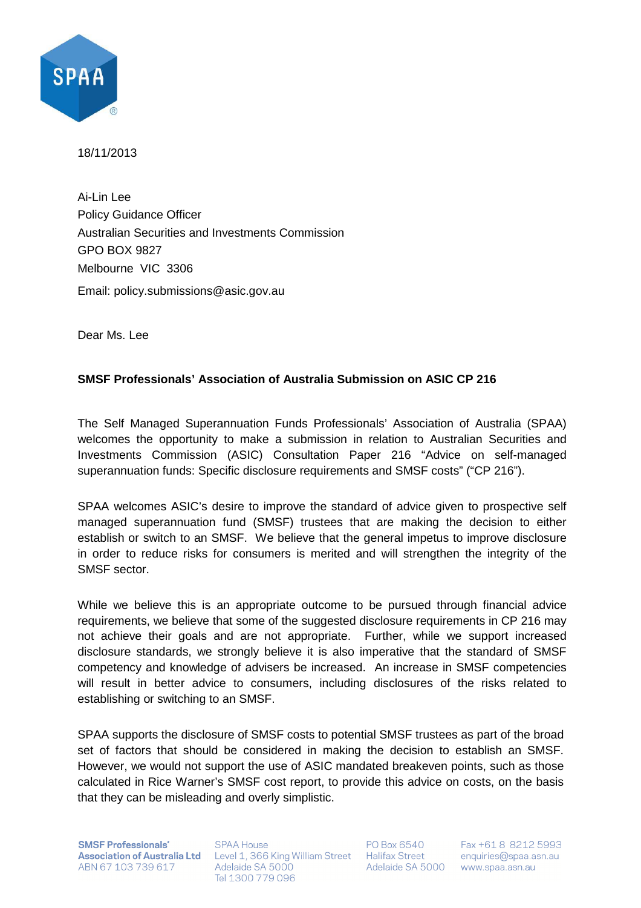

18/11/2013

Ai-Lin Lee Policy Guidance Officer Australian Securities and Investments Commission GPO BOX 9827 Melbourne VIC 3306 Email: policy.submissions@asic.gov.au

Dear Ms. Lee

#### **SMSF Professionals' Association of Australia Submission on ASIC CP 216**

The Self Managed Superannuation Funds Professionals' Association of Australia (SPAA) welcomes the opportunity to make a submission in relation to Australian Securities and Investments Commission (ASIC) Consultation Paper 216 "Advice on self-managed superannuation funds: Specific disclosure requirements and SMSF costs" ("CP 216").

SPAA welcomes ASIC's desire to improve the standard of advice given to prospective self managed superannuation fund (SMSF) trustees that are making the decision to either establish or switch to an SMSF. We believe that the general impetus to improve disclosure in order to reduce risks for consumers is merited and will strengthen the integrity of the SMSF sector.

While we believe this is an appropriate outcome to be pursued through financial advice requirements, we believe that some of the suggested disclosure requirements in CP 216 may not achieve their goals and are not appropriate. Further, while we support increased disclosure standards, we strongly believe it is also imperative that the standard of SMSF competency and knowledge of advisers be increased. An increase in SMSF competencies will result in better advice to consumers, including disclosures of the risks related to establishing or switching to an SMSF.

SPAA supports the disclosure of SMSF costs to potential SMSF trustees as part of the broad set of factors that should be considered in making the decision to establish an SMSF. However, we would not support the use of ASIC mandated breakeven points, such as those calculated in Rice Warner's SMSF cost report, to provide this advice on costs, on the basis that they can be misleading and overly simplistic.

**SMSF Professionals'** ABN 67 103 739 617

**SPAA House SMSP Professionals**<br>**Association of Australia Ltd** Level 1, 366 King William Street Halifax Street<br>Abbelience 1, 2017 Adelaide SA 5000 Tel 1300 779 096

PO Box 6540 Adelaide SA 5000 www.spaa.asn.au

Fax +61 8 8212 5993 enquiries@spaa.asn.au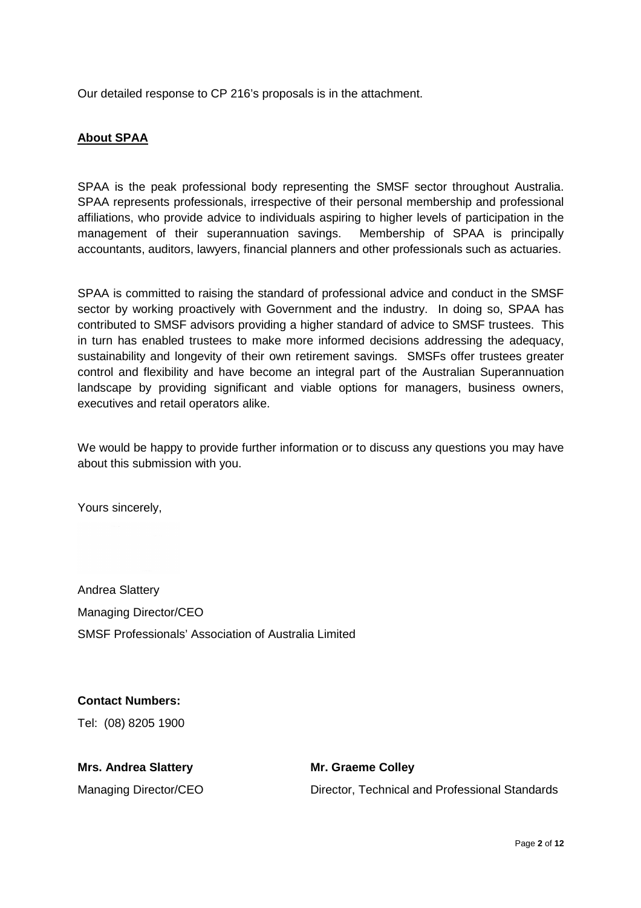Our detailed response to CP 216's proposals is in the attachment.

#### **About SPAA**

SPAA is the peak professional body representing the SMSF sector throughout Australia. SPAA represents professionals, irrespective of their personal membership and professional affiliations, who provide advice to individuals aspiring to higher levels of participation in the management of their superannuation savings. Membership of SPAA is principally accountants, auditors, lawyers, financial planners and other professionals such as actuaries.

SPAA is committed to raising the standard of professional advice and conduct in the SMSF sector by working proactively with Government and the industry. In doing so, SPAA has contributed to SMSF advisors providing a higher standard of advice to SMSF trustees. This in turn has enabled trustees to make more informed decisions addressing the adequacy, sustainability and longevity of their own retirement savings. SMSFs offer trustees greater control and flexibility and have become an integral part of the Australian Superannuation landscape by providing significant and viable options for managers, business owners, executives and retail operators alike.

We would be happy to provide further information or to discuss any questions you may have about this submission with you.

Yours sincerely,

Andrea Slattery Managing Director/CEO SMSF Professionals' Association of Australia Limited

**Contact Numbers:** 

Tel: (08) 8205 1900

| <b>Mrs. Andrea Slattery</b> | <b>Mr. Graeme Colley</b>                       |
|-----------------------------|------------------------------------------------|
| Managing Director/CEO       | Director, Technical and Professional Standards |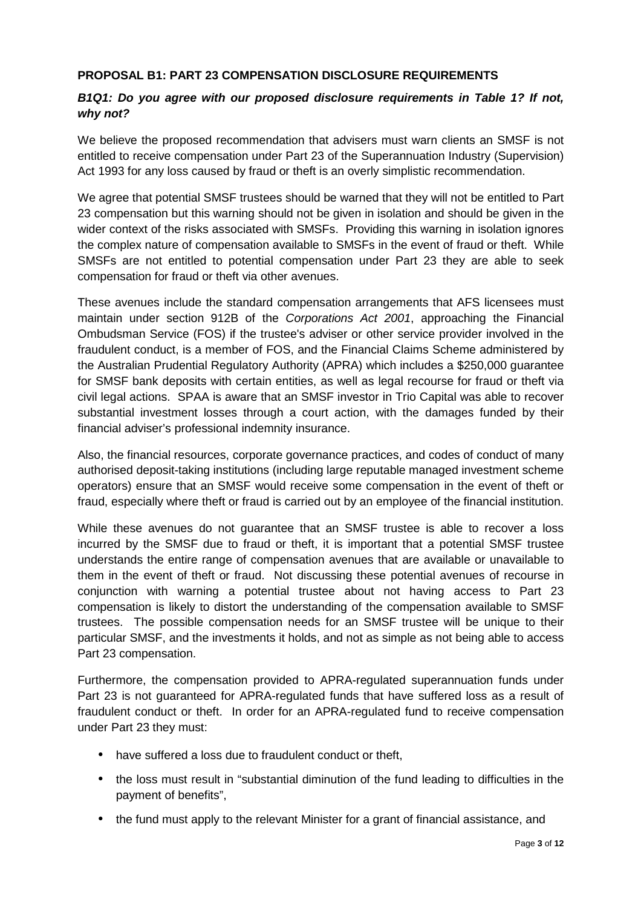#### **PROPOSAL B1: PART 23 COMPENSATION DISCLOSURE REQUIREMENTS**

#### **B1Q1: Do you agree with our proposed disclosure requirements in Table 1? If not, why not?**

We believe the proposed recommendation that advisers must warn clients an SMSF is not entitled to receive compensation under Part 23 of the Superannuation Industry (Supervision) Act 1993 for any loss caused by fraud or theft is an overly simplistic recommendation.

We agree that potential SMSF trustees should be warned that they will not be entitled to Part 23 compensation but this warning should not be given in isolation and should be given in the wider context of the risks associated with SMSFs. Providing this warning in isolation ignores the complex nature of compensation available to SMSFs in the event of fraud or theft. While SMSFs are not entitled to potential compensation under Part 23 they are able to seek compensation for fraud or theft via other avenues.

These avenues include the standard compensation arrangements that AFS licensees must maintain under section 912B of the Corporations Act 2001, approaching the Financial Ombudsman Service (FOS) if the trustee's adviser or other service provider involved in the fraudulent conduct, is a member of FOS, and the Financial Claims Scheme administered by the Australian Prudential Regulatory Authority (APRA) which includes a \$250,000 guarantee for SMSF bank deposits with certain entities, as well as legal recourse for fraud or theft via civil legal actions. SPAA is aware that an SMSF investor in Trio Capital was able to recover substantial investment losses through a court action, with the damages funded by their financial adviser's professional indemnity insurance.

Also, the financial resources, corporate governance practices, and codes of conduct of many authorised deposit-taking institutions (including large reputable managed investment scheme operators) ensure that an SMSF would receive some compensation in the event of theft or fraud, especially where theft or fraud is carried out by an employee of the financial institution.

While these avenues do not guarantee that an SMSF trustee is able to recover a loss incurred by the SMSF due to fraud or theft, it is important that a potential SMSF trustee understands the entire range of compensation avenues that are available or unavailable to them in the event of theft or fraud. Not discussing these potential avenues of recourse in conjunction with warning a potential trustee about not having access to Part 23 compensation is likely to distort the understanding of the compensation available to SMSF trustees. The possible compensation needs for an SMSF trustee will be unique to their particular SMSF, and the investments it holds, and not as simple as not being able to access Part 23 compensation.

Furthermore, the compensation provided to APRA-regulated superannuation funds under Part 23 is not guaranteed for APRA-regulated funds that have suffered loss as a result of fraudulent conduct or theft. In order for an APRA-regulated fund to receive compensation under Part 23 they must:

- have suffered a loss due to fraudulent conduct or theft.
- the loss must result in "substantial diminution of the fund leading to difficulties in the payment of benefits",
- the fund must apply to the relevant Minister for a grant of financial assistance, and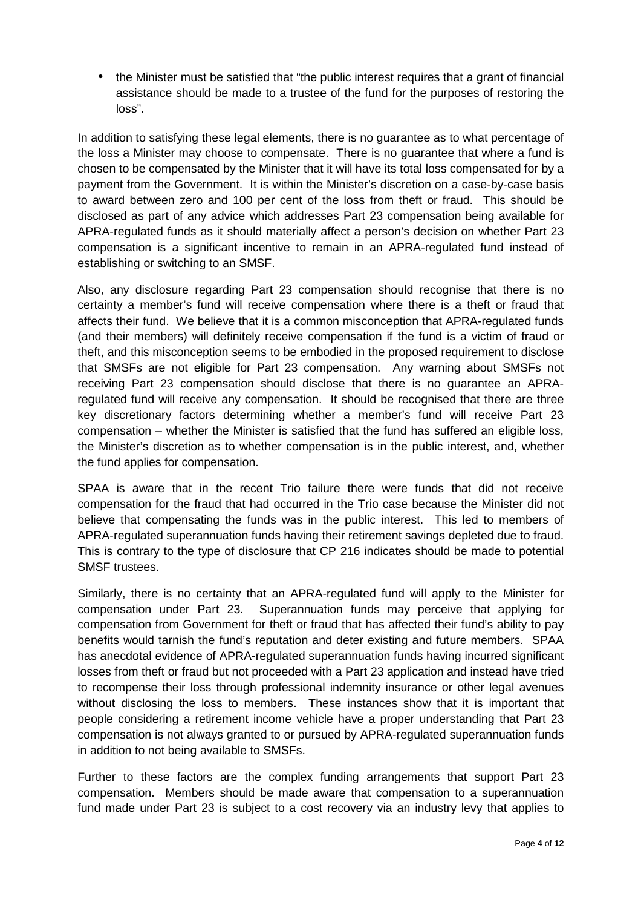• the Minister must be satisfied that "the public interest requires that a grant of financial assistance should be made to a trustee of the fund for the purposes of restoring the loss".

In addition to satisfying these legal elements, there is no guarantee as to what percentage of the loss a Minister may choose to compensate. There is no guarantee that where a fund is chosen to be compensated by the Minister that it will have its total loss compensated for by a payment from the Government. It is within the Minister's discretion on a case-by-case basis to award between zero and 100 per cent of the loss from theft or fraud. This should be disclosed as part of any advice which addresses Part 23 compensation being available for APRA-regulated funds as it should materially affect a person's decision on whether Part 23 compensation is a significant incentive to remain in an APRA-regulated fund instead of establishing or switching to an SMSF.

Also, any disclosure regarding Part 23 compensation should recognise that there is no certainty a member's fund will receive compensation where there is a theft or fraud that affects their fund. We believe that it is a common misconception that APRA-regulated funds (and their members) will definitely receive compensation if the fund is a victim of fraud or theft, and this misconception seems to be embodied in the proposed requirement to disclose that SMSFs are not eligible for Part 23 compensation. Any warning about SMSFs not receiving Part 23 compensation should disclose that there is no guarantee an APRAregulated fund will receive any compensation. It should be recognised that there are three key discretionary factors determining whether a member's fund will receive Part 23 compensation – whether the Minister is satisfied that the fund has suffered an eligible loss, the Minister's discretion as to whether compensation is in the public interest, and, whether the fund applies for compensation.

SPAA is aware that in the recent Trio failure there were funds that did not receive compensation for the fraud that had occurred in the Trio case because the Minister did not believe that compensating the funds was in the public interest. This led to members of APRA-regulated superannuation funds having their retirement savings depleted due to fraud. This is contrary to the type of disclosure that CP 216 indicates should be made to potential SMSF trustees.

Similarly, there is no certainty that an APRA-regulated fund will apply to the Minister for compensation under Part 23. Superannuation funds may perceive that applying for compensation from Government for theft or fraud that has affected their fund's ability to pay benefits would tarnish the fund's reputation and deter existing and future members. SPAA has anecdotal evidence of APRA-regulated superannuation funds having incurred significant losses from theft or fraud but not proceeded with a Part 23 application and instead have tried to recompense their loss through professional indemnity insurance or other legal avenues without disclosing the loss to members. These instances show that it is important that people considering a retirement income vehicle have a proper understanding that Part 23 compensation is not always granted to or pursued by APRA-regulated superannuation funds in addition to not being available to SMSFs.

Further to these factors are the complex funding arrangements that support Part 23 compensation. Members should be made aware that compensation to a superannuation fund made under Part 23 is subject to a cost recovery via an industry levy that applies to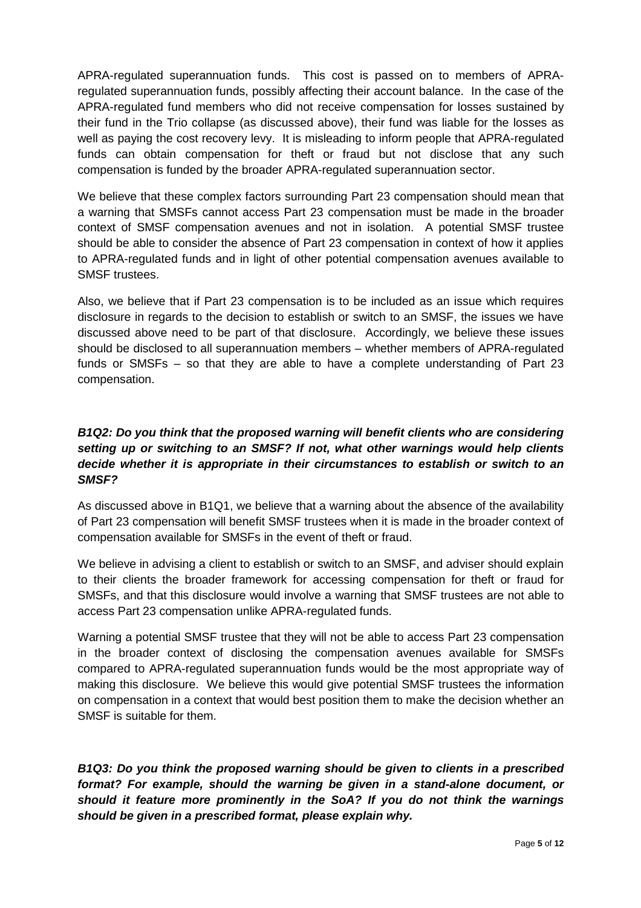APRA-regulated superannuation funds. This cost is passed on to members of APRAregulated superannuation funds, possibly affecting their account balance. In the case of the APRA-regulated fund members who did not receive compensation for losses sustained by their fund in the Trio collapse (as discussed above), their fund was liable for the losses as well as paying the cost recovery levy. It is misleading to inform people that APRA-regulated funds can obtain compensation for theft or fraud but not disclose that any such compensation is funded by the broader APRA-regulated superannuation sector.

We believe that these complex factors surrounding Part 23 compensation should mean that a warning that SMSFs cannot access Part 23 compensation must be made in the broader context of SMSF compensation avenues and not in isolation. A potential SMSF trustee should be able to consider the absence of Part 23 compensation in context of how it applies to APRA-regulated funds and in light of other potential compensation avenues available to SMSF trustees.

Also, we believe that if Part 23 compensation is to be included as an issue which requires disclosure in regards to the decision to establish or switch to an SMSF, the issues we have discussed above need to be part of that disclosure. Accordingly, we believe these issues should be disclosed to all superannuation members – whether members of APRA-regulated funds or SMSFs – so that they are able to have a complete understanding of Part 23 compensation.

# **B1Q2: Do you think that the proposed warning will benefit clients who are considering setting up or switching to an SMSF? If not, what other warnings would help clients decide whether it is appropriate in their circumstances to establish or switch to an SMSF?**

As discussed above in B1Q1, we believe that a warning about the absence of the availability of Part 23 compensation will benefit SMSF trustees when it is made in the broader context of compensation available for SMSFs in the event of theft or fraud.

We believe in advising a client to establish or switch to an SMSF, and adviser should explain to their clients the broader framework for accessing compensation for theft or fraud for SMSFs, and that this disclosure would involve a warning that SMSF trustees are not able to access Part 23 compensation unlike APRA-regulated funds.

Warning a potential SMSF trustee that they will not be able to access Part 23 compensation in the broader context of disclosing the compensation avenues available for SMSFs compared to APRA-regulated superannuation funds would be the most appropriate way of making this disclosure. We believe this would give potential SMSF trustees the information on compensation in a context that would best position them to make the decision whether an SMSF is suitable for them.

**B1Q3: Do you think the proposed warning should be given to clients in a prescribed format? For example, should the warning be given in a stand-alone document, or should it feature more prominently in the SoA? If you do not think the warnings should be given in a prescribed format, please explain why.**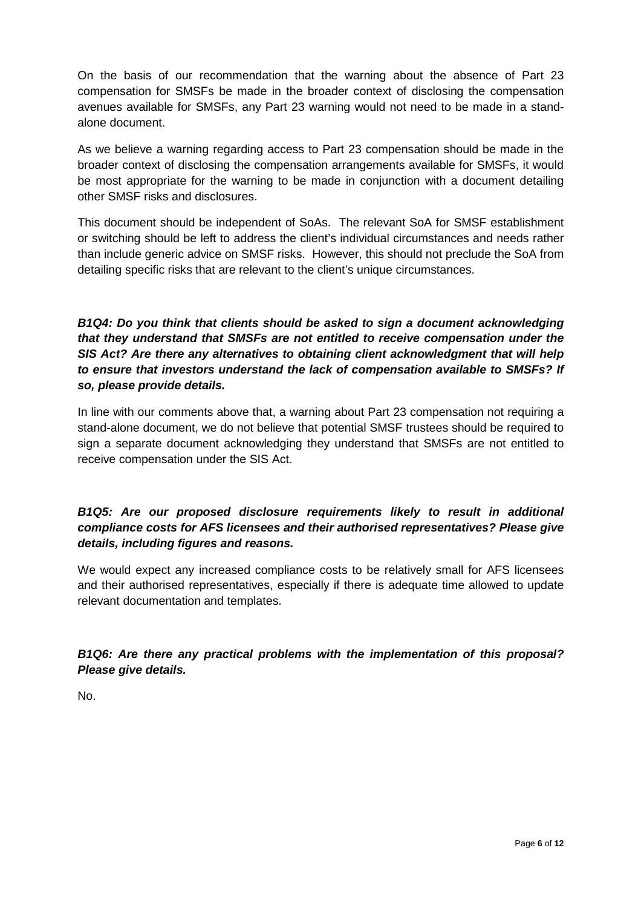On the basis of our recommendation that the warning about the absence of Part 23 compensation for SMSFs be made in the broader context of disclosing the compensation avenues available for SMSFs, any Part 23 warning would not need to be made in a standalone document.

As we believe a warning regarding access to Part 23 compensation should be made in the broader context of disclosing the compensation arrangements available for SMSFs, it would be most appropriate for the warning to be made in conjunction with a document detailing other SMSF risks and disclosures.

This document should be independent of SoAs. The relevant SoA for SMSF establishment or switching should be left to address the client's individual circumstances and needs rather than include generic advice on SMSF risks. However, this should not preclude the SoA from detailing specific risks that are relevant to the client's unique circumstances.

**B1Q4: Do you think that clients should be asked to sign a document acknowledging that they understand that SMSFs are not entitled to receive compensation under the SIS Act? Are there any alternatives to obtaining client acknowledgment that will help to ensure that investors understand the lack of compensation available to SMSFs? If so, please provide details.**

In line with our comments above that, a warning about Part 23 compensation not requiring a stand-alone document, we do not believe that potential SMSF trustees should be required to sign a separate document acknowledging they understand that SMSFs are not entitled to receive compensation under the SIS Act.

# **B1Q5: Are our proposed disclosure requirements likely to result in additional compliance costs for AFS licensees and their authorised representatives? Please give details, including figures and reasons.**

We would expect any increased compliance costs to be relatively small for AFS licensees and their authorised representatives, especially if there is adequate time allowed to update relevant documentation and templates.

# **B1Q6: Are there any practical problems with the implementation of this proposal? Please give details.**

No.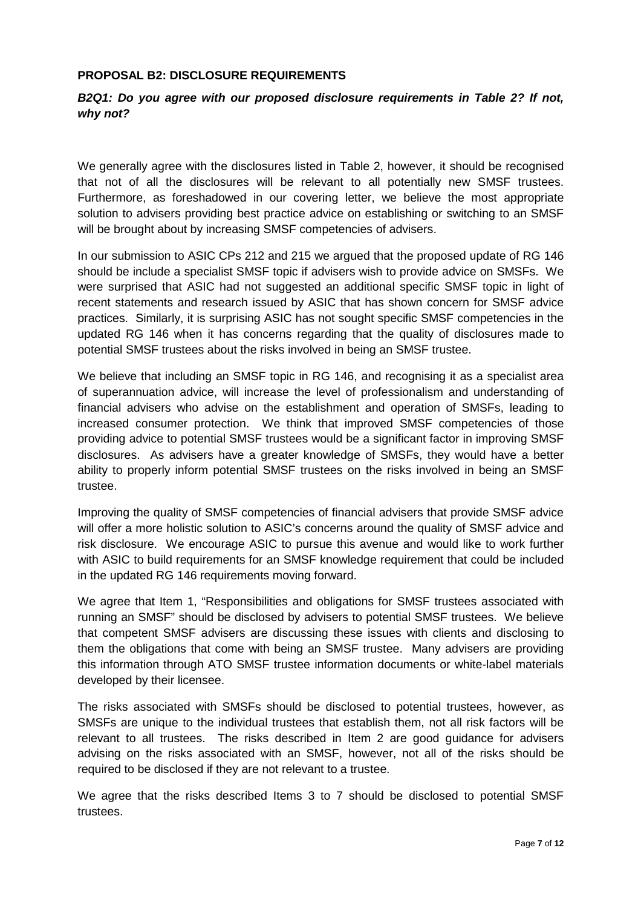#### **PROPOSAL B2: DISCLOSURE REQUIREMENTS**

#### **B2Q1: Do you agree with our proposed disclosure requirements in Table 2? If not, why not?**

We generally agree with the disclosures listed in Table 2, however, it should be recognised that not of all the disclosures will be relevant to all potentially new SMSF trustees. Furthermore, as foreshadowed in our covering letter, we believe the most appropriate solution to advisers providing best practice advice on establishing or switching to an SMSF will be brought about by increasing SMSF competencies of advisers.

In our submission to ASIC CPs 212 and 215 we argued that the proposed update of RG 146 should be include a specialist SMSF topic if advisers wish to provide advice on SMSFs. We were surprised that ASIC had not suggested an additional specific SMSF topic in light of recent statements and research issued by ASIC that has shown concern for SMSF advice practices. Similarly, it is surprising ASIC has not sought specific SMSF competencies in the updated RG 146 when it has concerns regarding that the quality of disclosures made to potential SMSF trustees about the risks involved in being an SMSF trustee.

We believe that including an SMSF topic in RG 146, and recognising it as a specialist area of superannuation advice, will increase the level of professionalism and understanding of financial advisers who advise on the establishment and operation of SMSFs, leading to increased consumer protection. We think that improved SMSF competencies of those providing advice to potential SMSF trustees would be a significant factor in improving SMSF disclosures. As advisers have a greater knowledge of SMSFs, they would have a better ability to properly inform potential SMSF trustees on the risks involved in being an SMSF trustee.

Improving the quality of SMSF competencies of financial advisers that provide SMSF advice will offer a more holistic solution to ASIC's concerns around the quality of SMSF advice and risk disclosure. We encourage ASIC to pursue this avenue and would like to work further with ASIC to build requirements for an SMSF knowledge requirement that could be included in the updated RG 146 requirements moving forward.

We agree that Item 1, "Responsibilities and obligations for SMSF trustees associated with running an SMSF" should be disclosed by advisers to potential SMSF trustees. We believe that competent SMSF advisers are discussing these issues with clients and disclosing to them the obligations that come with being an SMSF trustee. Many advisers are providing this information through ATO SMSF trustee information documents or white-label materials developed by their licensee.

The risks associated with SMSFs should be disclosed to potential trustees, however, as SMSFs are unique to the individual trustees that establish them, not all risk factors will be relevant to all trustees. The risks described in Item 2 are good guidance for advisers advising on the risks associated with an SMSF, however, not all of the risks should be required to be disclosed if they are not relevant to a trustee.

We agree that the risks described Items 3 to 7 should be disclosed to potential SMSF trustees.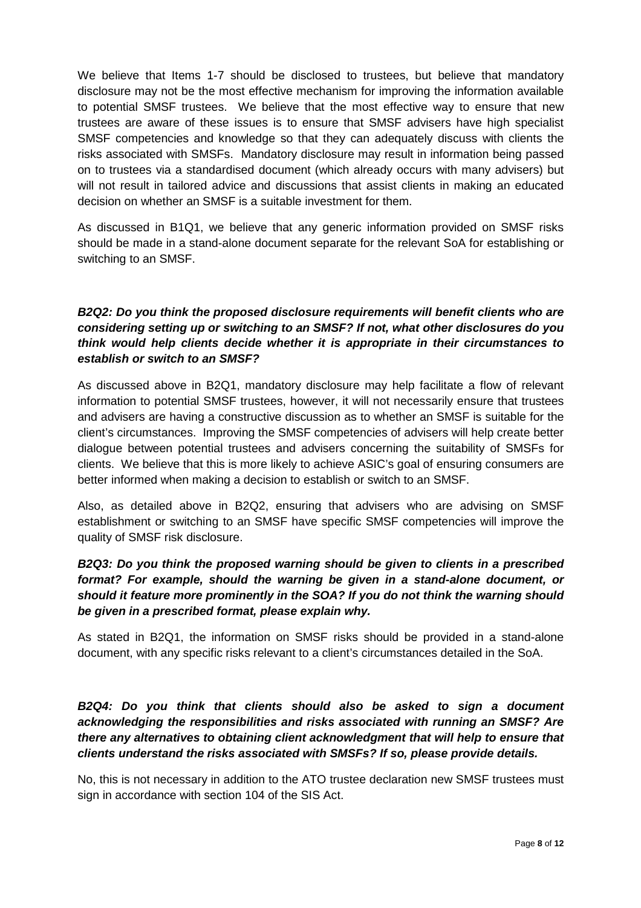We believe that Items 1-7 should be disclosed to trustees, but believe that mandatory disclosure may not be the most effective mechanism for improving the information available to potential SMSF trustees. We believe that the most effective way to ensure that new trustees are aware of these issues is to ensure that SMSF advisers have high specialist SMSF competencies and knowledge so that they can adequately discuss with clients the risks associated with SMSFs. Mandatory disclosure may result in information being passed on to trustees via a standardised document (which already occurs with many advisers) but will not result in tailored advice and discussions that assist clients in making an educated decision on whether an SMSF is a suitable investment for them.

As discussed in B1Q1, we believe that any generic information provided on SMSF risks should be made in a stand-alone document separate for the relevant SoA for establishing or switching to an SMSF.

# **B2Q2: Do you think the proposed disclosure requirements will benefit clients who are considering setting up or switching to an SMSF? If not, what other disclosures do you think would help clients decide whether it is appropriate in their circumstances to establish or switch to an SMSF?**

As discussed above in B2Q1, mandatory disclosure may help facilitate a flow of relevant information to potential SMSF trustees, however, it will not necessarily ensure that trustees and advisers are having a constructive discussion as to whether an SMSF is suitable for the client's circumstances. Improving the SMSF competencies of advisers will help create better dialogue between potential trustees and advisers concerning the suitability of SMSFs for clients. We believe that this is more likely to achieve ASIC's goal of ensuring consumers are better informed when making a decision to establish or switch to an SMSF.

Also, as detailed above in B2Q2, ensuring that advisers who are advising on SMSF establishment or switching to an SMSF have specific SMSF competencies will improve the quality of SMSF risk disclosure.

# **B2Q3: Do you think the proposed warning should be given to clients in a prescribed format? For example, should the warning be given in a stand-alone document, or should it feature more prominently in the SOA? If you do not think the warning should be given in a prescribed format, please explain why.**

As stated in B2Q1, the information on SMSF risks should be provided in a stand-alone document, with any specific risks relevant to a client's circumstances detailed in the SoA.

# **B2Q4: Do you think that clients should also be asked to sign a document acknowledging the responsibilities and risks associated with running an SMSF? Are there any alternatives to obtaining client acknowledgment that will help to ensure that clients understand the risks associated with SMSFs? If so, please provide details.**

No, this is not necessary in addition to the ATO trustee declaration new SMSF trustees must sign in accordance with section 104 of the SIS Act.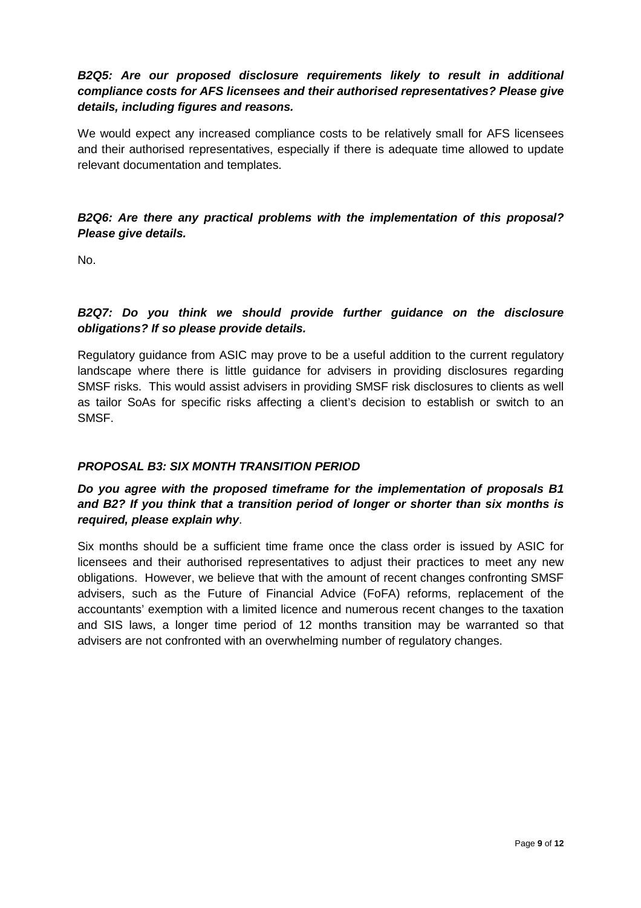### **B2Q5: Are our proposed disclosure requirements likely to result in additional compliance costs for AFS licensees and their authorised representatives? Please give details, including figures and reasons.**

We would expect any increased compliance costs to be relatively small for AFS licensees and their authorised representatives, especially if there is adequate time allowed to update relevant documentation and templates.

### **B2Q6: Are there any practical problems with the implementation of this proposal? Please give details.**

No.

### **B2Q7: Do you think we should provide further guidance on the disclosure obligations? If so please provide details.**

Regulatory guidance from ASIC may prove to be a useful addition to the current regulatory landscape where there is little guidance for advisers in providing disclosures regarding SMSF risks. This would assist advisers in providing SMSF risk disclosures to clients as well as tailor SoAs for specific risks affecting a client's decision to establish or switch to an SMSF.

# **PROPOSAL B3: SIX MONTH TRANSITION PERIOD**

# **Do you agree with the proposed timeframe for the implementation of proposals B1 and B2? If you think that a transition period of longer or shorter than six months is required, please explain why**.

Six months should be a sufficient time frame once the class order is issued by ASIC for licensees and their authorised representatives to adjust their practices to meet any new obligations. However, we believe that with the amount of recent changes confronting SMSF advisers, such as the Future of Financial Advice (FoFA) reforms, replacement of the accountants' exemption with a limited licence and numerous recent changes to the taxation and SIS laws, a longer time period of 12 months transition may be warranted so that advisers are not confronted with an overwhelming number of regulatory changes.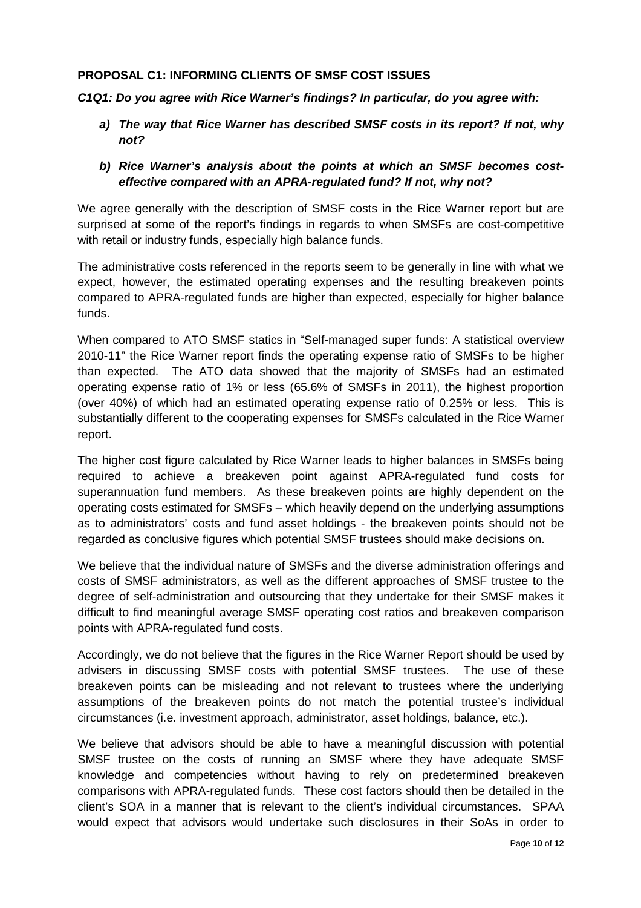#### **PROPOSAL C1: INFORMING CLIENTS OF SMSF COST ISSUES**

**C1Q1: Do you agree with Rice Warner's findings? In particular, do you agree with:** 

- **a) The way that Rice Warner has described SMSF costs in its report? If not, why not?**
- **b) Rice Warner's analysis about the points at which an SMSF becomes costeffective compared with an APRA-regulated fund? If not, why not?**

We agree generally with the description of SMSF costs in the Rice Warner report but are surprised at some of the report's findings in regards to when SMSFs are cost-competitive with retail or industry funds, especially high balance funds.

The administrative costs referenced in the reports seem to be generally in line with what we expect, however, the estimated operating expenses and the resulting breakeven points compared to APRA-regulated funds are higher than expected, especially for higher balance funds.

When compared to ATO SMSF statics in "Self-managed super funds: A statistical overview 2010-11" the Rice Warner report finds the operating expense ratio of SMSFs to be higher than expected. The ATO data showed that the majority of SMSFs had an estimated operating expense ratio of 1% or less (65.6% of SMSFs in 2011), the highest proportion (over 40%) of which had an estimated operating expense ratio of 0.25% or less. This is substantially different to the cooperating expenses for SMSFs calculated in the Rice Warner report.

The higher cost figure calculated by Rice Warner leads to higher balances in SMSFs being required to achieve a breakeven point against APRA-regulated fund costs for superannuation fund members. As these breakeven points are highly dependent on the operating costs estimated for SMSFs – which heavily depend on the underlying assumptions as to administrators' costs and fund asset holdings - the breakeven points should not be regarded as conclusive figures which potential SMSF trustees should make decisions on.

We believe that the individual nature of SMSFs and the diverse administration offerings and costs of SMSF administrators, as well as the different approaches of SMSF trustee to the degree of self-administration and outsourcing that they undertake for their SMSF makes it difficult to find meaningful average SMSF operating cost ratios and breakeven comparison points with APRA-regulated fund costs.

Accordingly, we do not believe that the figures in the Rice Warner Report should be used by advisers in discussing SMSF costs with potential SMSF trustees. The use of these breakeven points can be misleading and not relevant to trustees where the underlying assumptions of the breakeven points do not match the potential trustee's individual circumstances (i.e. investment approach, administrator, asset holdings, balance, etc.).

We believe that advisors should be able to have a meaningful discussion with potential SMSF trustee on the costs of running an SMSF where they have adequate SMSF knowledge and competencies without having to rely on predetermined breakeven comparisons with APRA-regulated funds. These cost factors should then be detailed in the client's SOA in a manner that is relevant to the client's individual circumstances. SPAA would expect that advisors would undertake such disclosures in their SoAs in order to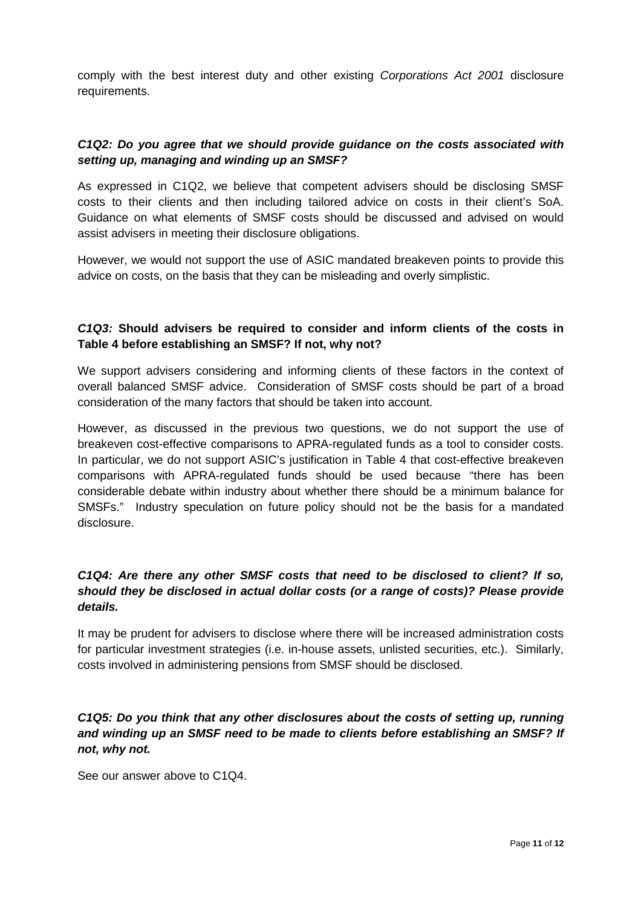comply with the best interest duty and other existing Corporations Act 2001 disclosure requirements.

#### **C1Q2: Do you agree that we should provide guidance on the costs associated with setting up, managing and winding up an SMSF?**

As expressed in C1Q2, we believe that competent advisers should be disclosing SMSF costs to their clients and then including tailored advice on costs in their client's SoA. Guidance on what elements of SMSF costs should be discussed and advised on would assist advisers in meeting their disclosure obligations.

However, we would not support the use of ASIC mandated breakeven points to provide this advice on costs, on the basis that they can be misleading and overly simplistic.

#### **C1Q3: Should advisers be required to consider and inform clients of the costs in Table 4 before establishing an SMSF? If not, why not?**

We support advisers considering and informing clients of these factors in the context of overall balanced SMSF advice. Consideration of SMSF costs should be part of a broad consideration of the many factors that should be taken into account.

However, as discussed in the previous two questions, we do not support the use of breakeven cost-effective comparisons to APRA-regulated funds as a tool to consider costs. In particular, we do not support ASIC's justification in Table 4 that cost-effective breakeven comparisons with APRA-regulated funds should be used because "there has been considerable debate within industry about whether there should be a minimum balance for SMSFs." Industry speculation on future policy should not be the basis for a mandated disclosure.

# **C1Q4: Are there any other SMSF costs that need to be disclosed to client? If so, should they be disclosed in actual dollar costs (or a range of costs)? Please provide details.**

It may be prudent for advisers to disclose where there will be increased administration costs for particular investment strategies (i.e. in-house assets, unlisted securities, etc.). Similarly, costs involved in administering pensions from SMSF should be disclosed.

# **C1Q5: Do you think that any other disclosures about the costs of setting up, running and winding up an SMSF need to be made to clients before establishing an SMSF? If not, why not.**

See our answer above to C1Q4.